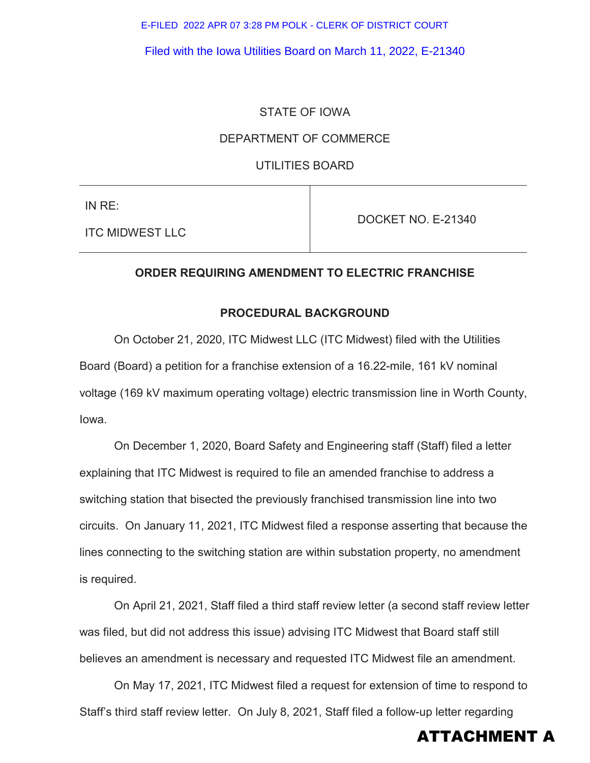E-FILED 2022 APR 07 3:28 PM POLK - CLERK OF DISTRICT COURT

Filed with the Iowa Utilities Board on March 11, 2022, E-21340

## STATE OF IOWA

### DEPARTMENT OF COMMERCE

UTILITIES BOARD

IN RE:

ITC MIDWEST LLC

DOCKET NO. E-21340

### **ORDER REQUIRING AMENDMENT TO ELECTRIC FRANCHISE**

### **PROCEDURAL BACKGROUND**

On October 21, 2020, ITC Midwest LLC (ITC Midwest) filed with the Utilities Board (Board) a petition for a franchise extension of a 16.22-mile, 161 kV nominal voltage (169 kV maximum operating voltage) electric transmission line in Worth County, Iowa.

On December 1, 2020, Board Safety and Engineering staff (Staff) filed a letter explaining that ITC Midwest is required to file an amended franchise to address a switching station that bisected the previously franchised transmission line into two circuits. On January 11, 2021, ITC Midwest filed a response asserting that because the lines connecting to the switching station are within substation property, no amendment is required.

On April 21, 2021, Staff filed a third staff review letter (a second staff review letter was filed, but did not address this issue) advising ITC Midwest that Board staff still believes an amendment is necessary and requested ITC Midwest file an amendment.

On May 17, 2021, ITC Midwest filed a request for extension of time to respond to Staff's third staff review letter. On July 8, 2021, Staff filed a follow-up letter regarding

# ATTACHMENT A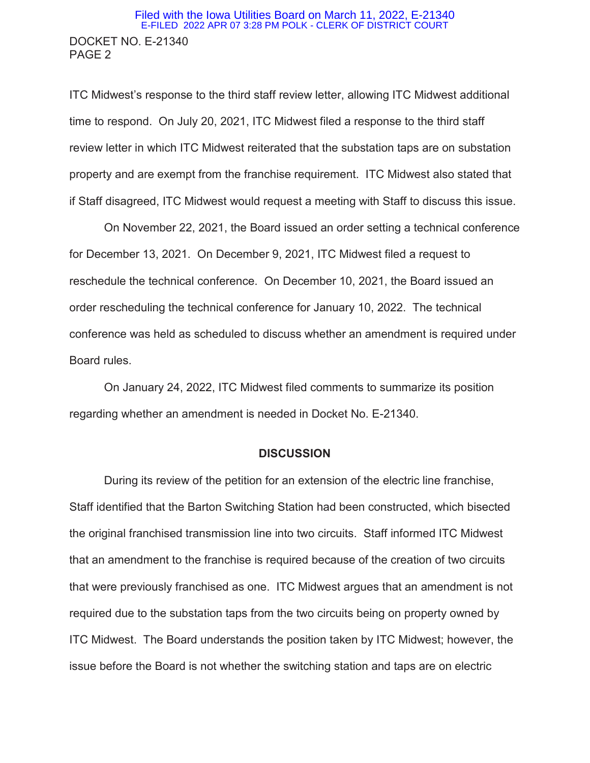# DOCKET NO. E-21340 PAGE 2 Filed with the Iowa Utilities Board on March 11, 2022, E-21340 E-FILED 2022 APR 07 3:28 PM POLK - CLERK OF DISTRICT COURT

ITC Midwest's response to the third staff review letter, allowing ITC Midwest additional time to respond. On July 20, 2021, ITC Midwest filed a response to the third staff review letter in which ITC Midwest reiterated that the substation taps are on substation property and are exempt from the franchise requirement. ITC Midwest also stated that if Staff disagreed, ITC Midwest would request a meeting with Staff to discuss this issue.

On November 22, 2021, the Board issued an order setting a technical conference for December 13, 2021. On December 9, 2021, ITC Midwest filed a request to reschedule the technical conference. On December 10, 2021, the Board issued an order rescheduling the technical conference for January 10, 2022. The technical conference was held as scheduled to discuss whether an amendment is required under Board rules.

On January 24, 2022, ITC Midwest filed comments to summarize its position regarding whether an amendment is needed in Docket No. E-21340.

#### **DISCUSSION**

During its review of the petition for an extension of the electric line franchise, Staff identified that the Barton Switching Station had been constructed, which bisected the original franchised transmission line into two circuits. Staff informed ITC Midwest that an amendment to the franchise is required because of the creation of two circuits that were previously franchised as one. ITC Midwest argues that an amendment is not required due to the substation taps from the two circuits being on property owned by ITC Midwest. The Board understands the position taken by ITC Midwest; however, the issue before the Board is not whether the switching station and taps are on electric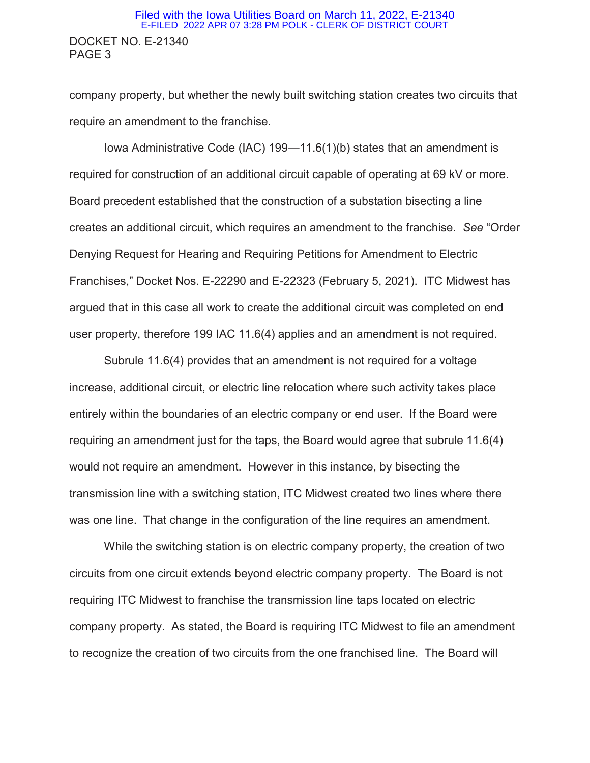## DOCKET NO. E-21340 PAGE 3 Filed with the Iowa Utilities Board on March 11, 2022, E-21340 E-FILED 2022 APR 07 3:28 PM POLK - CLERK OF DISTRICT COURT

company property, but whether the newly built switching station creates two circuits that require an amendment to the franchise.

Iowa Administrative Code (IAC) 199—11.6(1)(b) states that an amendment is required for construction of an additional circuit capable of operating at 69 kV or more. Board precedent established that the construction of a substation bisecting a line creates an additional circuit, which requires an amendment to the franchise. *See* "Order Denying Request for Hearing and Requiring Petitions for Amendment to Electric Franchises," Docket Nos. E-22290 and E-22323 (February 5, 2021). ITC Midwest has argued that in this case all work to create the additional circuit was completed on end user property, therefore 199 IAC 11.6(4) applies and an amendment is not required.

Subrule 11.6(4) provides that an amendment is not required for a voltage increase, additional circuit, or electric line relocation where such activity takes place entirely within the boundaries of an electric company or end user. If the Board were requiring an amendment just for the taps, the Board would agree that subrule 11.6(4) would not require an amendment. However in this instance, by bisecting the transmission line with a switching station, ITC Midwest created two lines where there was one line. That change in the configuration of the line requires an amendment.

While the switching station is on electric company property, the creation of two circuits from one circuit extends beyond electric company property. The Board is not requiring ITC Midwest to franchise the transmission line taps located on electric company property. As stated, the Board is requiring ITC Midwest to file an amendment to recognize the creation of two circuits from the one franchised line. The Board will